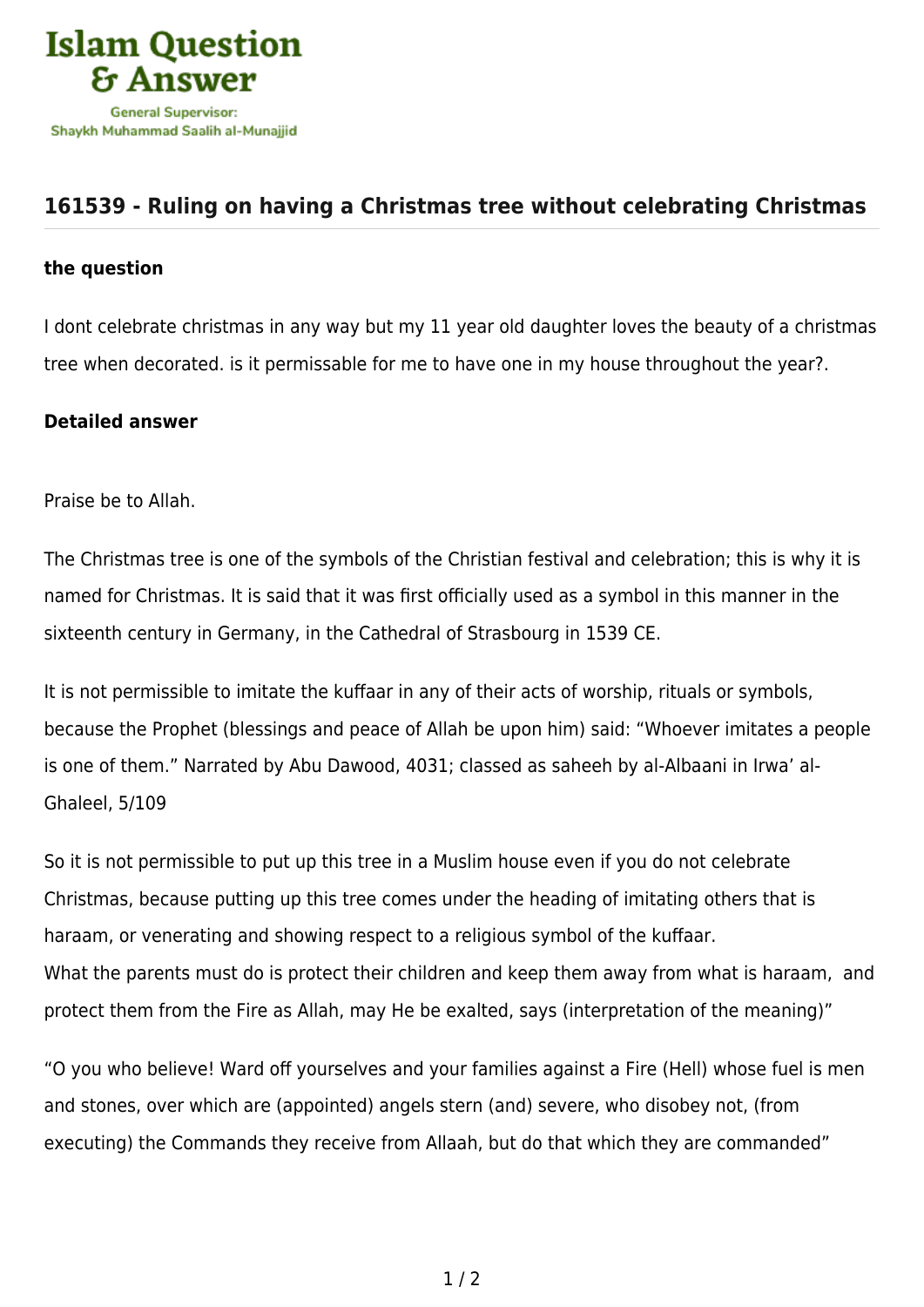

## **[161539 - Ruling on having a Christmas tree without celebrating Christmas](https://islamqa.info/en/answers/161539/ruling-on-having-a-christmas-tree-without-celebrating-christmas)**

## **the question**

I dont celebrate christmas in any way but my 11 year old daughter loves the beauty of a christmas tree when decorated. is it permissable for me to have one in my house throughout the year?.

## **Detailed answer**

Praise be to Allah.

The Christmas tree is one of the symbols of the Christian festival and celebration; this is why it is named for Christmas. It is said that it was first officially used as a symbol in this manner in the sixteenth century in Germany, in the Cathedral of Strasbourg in 1539 CE.

It is not permissible to imitate the kuffaar in any of their acts of worship, rituals or symbols, because the Prophet (blessings and peace of Allah be upon him) said: "Whoever imitates a people is one of them." Narrated by Abu Dawood, 4031; classed as saheeh by al-Albaani in Irwa' al-Ghaleel, 5/109

So it is not permissible to put up this tree in a Muslim house even if you do not celebrate Christmas, because putting up this tree comes under the heading of imitating others that is haraam, or venerating and showing respect to a religious symbol of the kuffaar. What the parents must do is protect their children and keep them away from what is haraam, and protect them from the Fire as Allah, may He be exalted, says (interpretation of the meaning)"

"O you who believe! Ward off yourselves and your families against a Fire (Hell) whose fuel is men and stones, over which are (appointed) angels stern (and) severe, who disobey not, (from executing) the Commands they receive from Allaah, but do that which they are commanded"